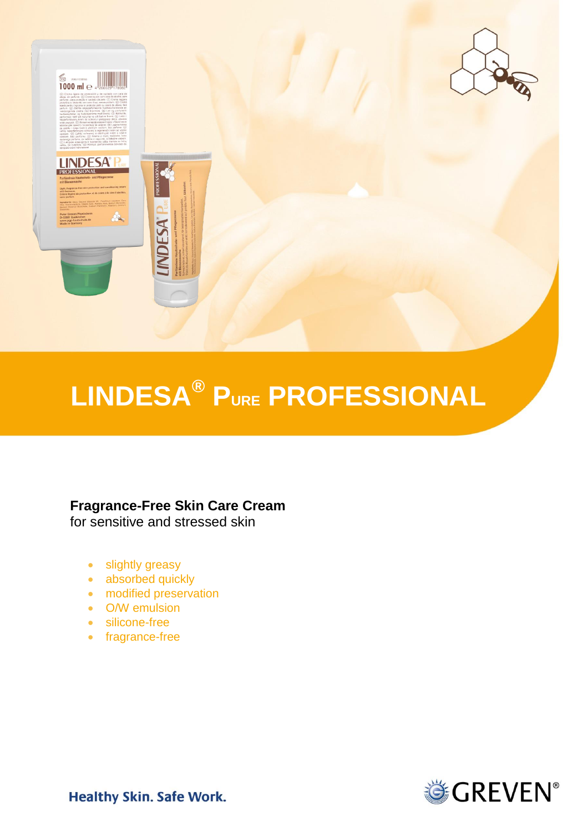

# **LINDESA® PURE PROFESSIONAL**

# **Fragrance-Free Skin Care Cream**

for sensitive and stressed skin

- slightly greasy
- absorbed quickly
- modified preservation
- O/W emulsion
- silicone-free
- fragrance-free



**Healthy Skin. Safe Work.**